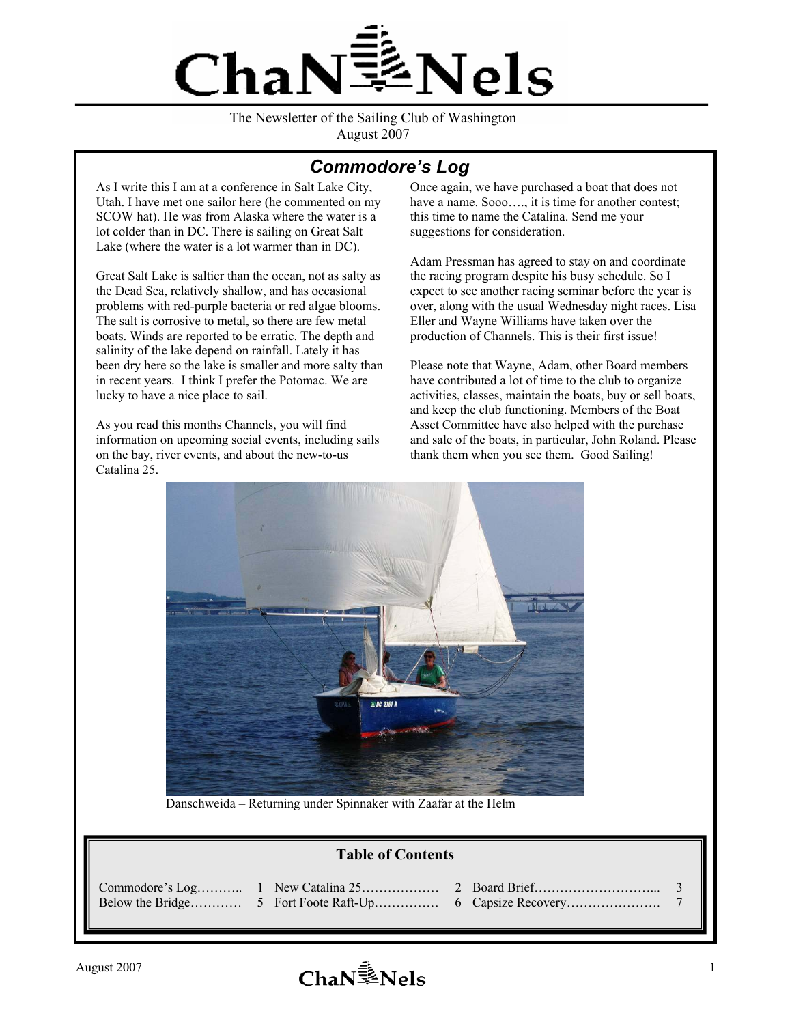

The Newsletter of the Sailing Club of Washington August 2007

## *Commodore's Log*

As I write this I am at a conference in Salt Lake City, Utah. I have met one sailor here (he commented on my SCOW hat). He was from Alaska where the water is a lot colder than in DC. There is sailing on Great Salt Lake (where the water is a lot warmer than in DC).

Great Salt Lake is saltier than the ocean, not as salty as the Dead Sea, relatively shallow, and has occasional problems with red-purple bacteria or red algae blooms. The salt is corrosive to metal, so there are few metal boats. Winds are reported to be erratic. The depth and salinity of the lake depend on rainfall. Lately it has been dry here so the lake is smaller and more salty than in recent years. I think I prefer the Potomac. We are lucky to have a nice place to sail.

As you read this months Channels, you will find information on upcoming social events, including sails on the bay, river events, and about the new-to-us Catalina 25.

Once again, we have purchased a boat that does not have a name. Sooo...., it is time for another contest; this time to name the Catalina. Send me your suggestions for consideration.

Adam Pressman has agreed to stay on and coordinate the racing program despite his busy schedule. So I expect to see another racing seminar before the year is over, along with the usual Wednesday night races. Lisa Eller and Wayne Williams have taken over the production of Channels. This is their first issue!

Please note that Wayne, Adam, other Board members have contributed a lot of time to the club to organize activities, classes, maintain the boats, buy or sell boats, and keep the club functioning. Members of the Boat Asset Committee have also helped with the purchase and sale of the boats, in particular, John Roland. Please thank them when you see them. Good Sailing!



Danschweida – Returning under Spinnaker with Zaafar at the Helm

#### **Table of Contents**

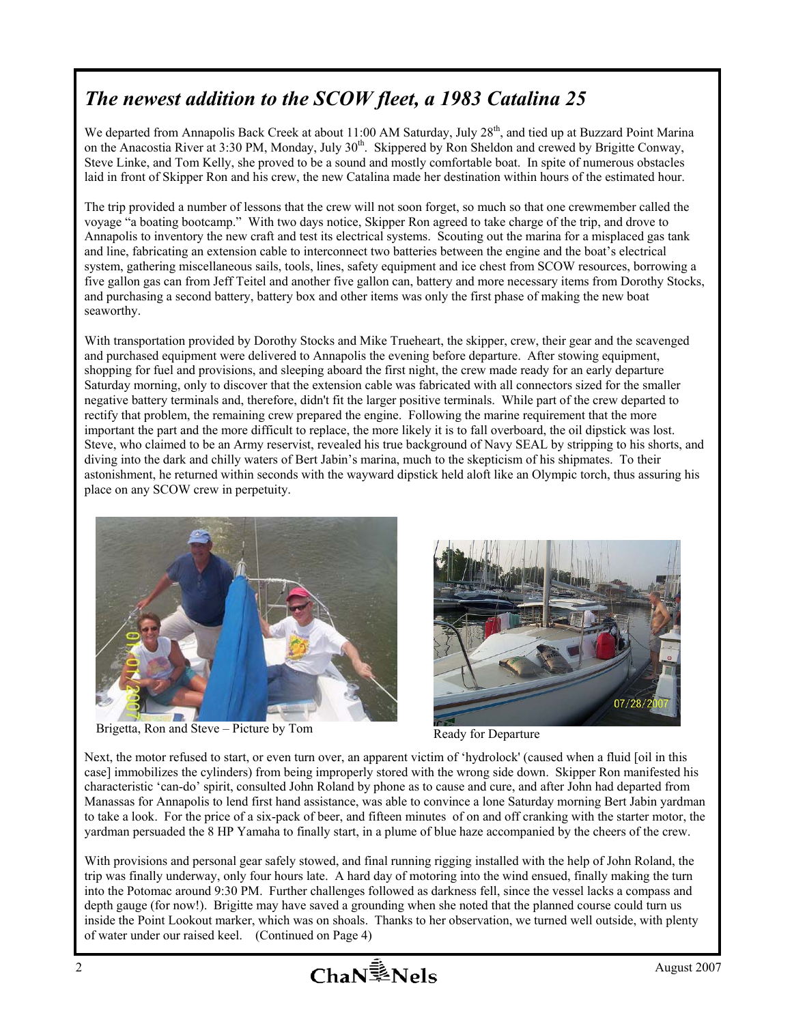## *The newest addition to the SCOW fleet, a 1983 Catalina 25*

We departed from Annapolis Back Creek at about 11:00 AM Saturday, July 28<sup>th</sup>, and tied up at Buzzard Point Marina on the Anacostia River at 3:30 PM, Monday, July 30<sup>th</sup>. Skippered by Ron Sheldon and crewed by Brigitte Conway, Steve Linke, and Tom Kelly, she proved to be a sound and mostly comfortable boat. In spite of numerous obstacles laid in front of Skipper Ron and his crew, the new Catalina made her destination within hours of the estimated hour.

The trip provided a number of lessons that the crew will not soon forget, so much so that one crewmember called the voyage "a boating bootcamp." With two days notice, Skipper Ron agreed to take charge of the trip, and drove to Annapolis to inventory the new craft and test its electrical systems. Scouting out the marina for a misplaced gas tank and line, fabricating an extension cable to interconnect two batteries between the engine and the boat's electrical system, gathering miscellaneous sails, tools, lines, safety equipment and ice chest from SCOW resources, borrowing a five gallon gas can from Jeff Teitel and another five gallon can, battery and more necessary items from Dorothy Stocks, and purchasing a second battery, battery box and other items was only the first phase of making the new boat seaworthy.

With transportation provided by Dorothy Stocks and Mike Trueheart, the skipper, crew, their gear and the scavenged and purchased equipment were delivered to Annapolis the evening before departure. After stowing equipment, shopping for fuel and provisions, and sleeping aboard the first night, the crew made ready for an early departure Saturday morning, only to discover that the extension cable was fabricated with all connectors sized for the smaller negative battery terminals and, therefore, didn't fit the larger positive terminals. While part of the crew departed to rectify that problem, the remaining crew prepared the engine. Following the marine requirement that the more important the part and the more difficult to replace, the more likely it is to fall overboard, the oil dipstick was lost. Steve, who claimed to be an Army reservist, revealed his true background of Navy SEAL by stripping to his shorts, and diving into the dark and chilly waters of Bert Jabin's marina, much to the skepticism of his shipmates. To their astonishment, he returned within seconds with the wayward dipstick held aloft like an Olympic torch, thus assuring his place on any SCOW crew in perpetuity.



Brigetta, Ron and Steve – Picture by Tom Ready for Departure



Next, the motor refused to start, or even turn over, an apparent victim of 'hydrolock' (caused when a fluid [oil in this case] immobilizes the cylinders) from being improperly stored with the wrong side down. Skipper Ron manifested his characteristic 'can-do' spirit, consulted John Roland by phone as to cause and cure, and after John had departed from Manassas for Annapolis to lend first hand assistance, was able to convince a lone Saturday morning Bert Jabin yardman to take a look. For the price of a six-pack of beer, and fifteen minutes of on and off cranking with the starter motor, the yardman persuaded the 8 HP Yamaha to finally start, in a plume of blue haze accompanied by the cheers of the crew.

With provisions and personal gear safely stowed, and final running rigging installed with the help of John Roland, the trip was finally underway, only four hours late. A hard day of motoring into the wind ensued, finally making the turn into the Potomac around 9:30 PM. Further challenges followed as darkness fell, since the vessel lacks a compass and depth gauge (for now!). Brigitte may have saved a grounding when she noted that the planned course could turn us inside the Point Lookout marker, which was on shoals. Thanks to her observation, we turned well outside, with plenty of water under our raised keel. (Continued on Page 4)

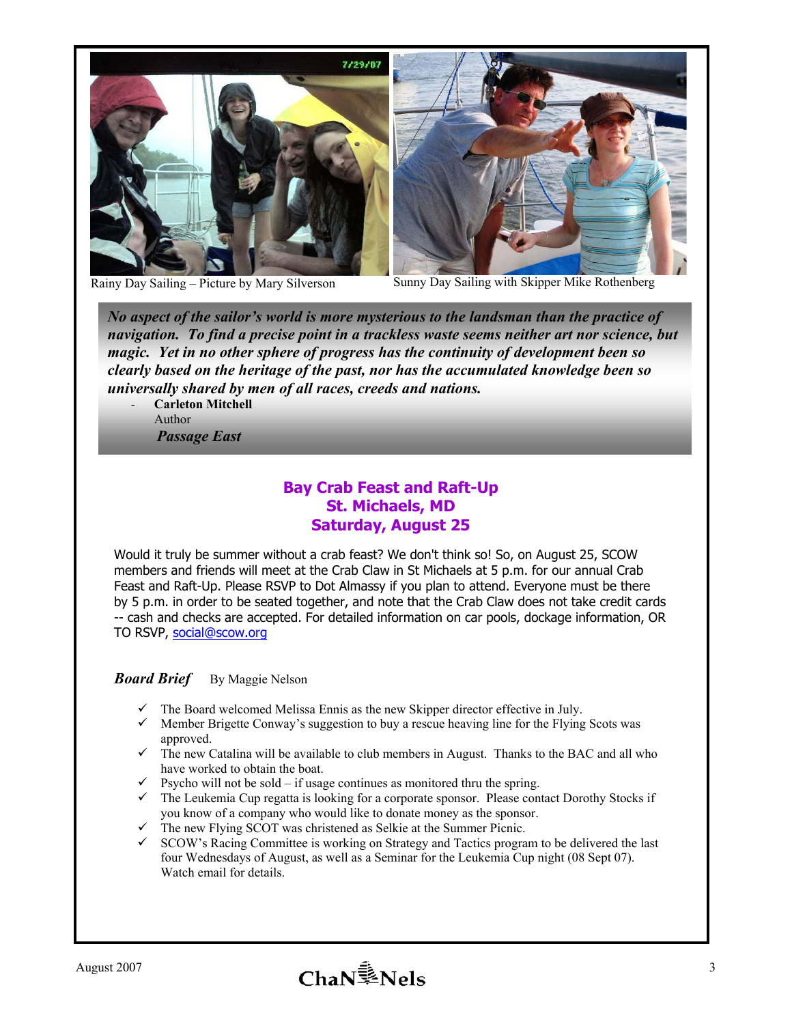



Rainy Day Sailing – Picture by Mary Silverson Sunny Day Sailing with Skipper Mike Rothenberg

*No aspect of the sailor's world is more mysterious to the landsman than the practice of navigation. To find a precise point in a trackless waste seems neither art nor science, but magic. Yet in no other sphere of progress has the continuity of development been so clearly based on the heritage of the past, nor has the accumulated knowledge been so universally shared by men of all races, creeds and nations.* 

*-* **Carleton Mitchell**  Author *Passage East* 

### **Bay Crab Feast and Raft-Up St. Michaels, MD Saturday, August 25**

Would it truly be summer without a crab feast? We don't think so! So, on August 25, SCOW members and friends will meet at the Crab Claw in St Michaels at 5 p.m. for our annual Crab Feast and Raft-Up. Please RSVP to Dot Almassy if you plan to attend. Everyone must be there by 5 p.m. in order to be seated together, and note that the Crab Claw does not take credit cards -- cash and checks are accepted. For detailed information on car pools, dockage information, OR TO RSVP, social@scow.org

#### *Board Brief* By Maggie Nelson

- $\checkmark$  The Board welcomed Melissa Ennis as the new Skipper director effective in July.
- $\checkmark$  Member Brigette Conway's suggestion to buy a rescue heaving line for the Flying Scots was approved.
- $\checkmark$  The new Catalina will be available to club members in August. Thanks to the BAC and all who have worked to obtain the boat.
- $\checkmark$  Psycho will not be sold if usage continues as monitored thru the spring.
- $\checkmark$  The Leukemia Cup regatta is looking for a corporate sponsor. Please contact Dorothy Stocks if you know of a company who would like to donate money as the sponsor.
- $\checkmark$  The new Flying SCOT was christened as Selkie at the Summer Picnic.
- $\checkmark$  SCOW's Racing Committee is working on Strategy and Tactics program to be delivered the last four Wednesdays of August, as well as a Seminar for the Leukemia Cup night (08 Sept 07). Watch email for details.

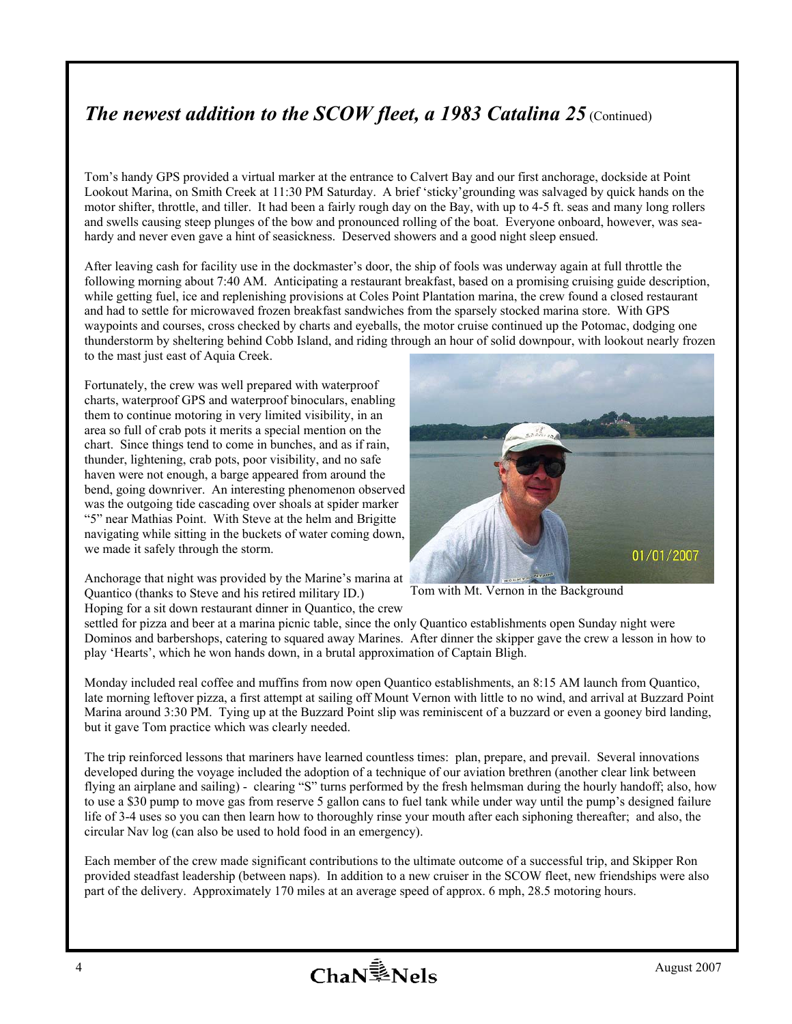## *The newest addition to the SCOW fleet, a 1983 Catalina 25 (Continued)*

Tom's handy GPS provided a virtual marker at the entrance to Calvert Bay and our first anchorage, dockside at Point Lookout Marina, on Smith Creek at 11:30 PM Saturday. A brief 'sticky'grounding was salvaged by quick hands on the motor shifter, throttle, and tiller. It had been a fairly rough day on the Bay, with up to 4-5 ft. seas and many long rollers and swells causing steep plunges of the bow and pronounced rolling of the boat. Everyone onboard, however, was seahardy and never even gave a hint of seasickness. Deserved showers and a good night sleep ensued.

After leaving cash for facility use in the dockmaster's door, the ship of fools was underway again at full throttle the following morning about 7:40 AM. Anticipating a restaurant breakfast, based on a promising cruising guide description, while getting fuel, ice and replenishing provisions at Coles Point Plantation marina, the crew found a closed restaurant and had to settle for microwaved frozen breakfast sandwiches from the sparsely stocked marina store. With GPS waypoints and courses, cross checked by charts and eyeballs, the motor cruise continued up the Potomac, dodging one thunderstorm by sheltering behind Cobb Island, and riding through an hour of solid downpour, with lookout nearly frozen to the mast just east of Aquia Creek.

Fortunately, the crew was well prepared with waterproof charts, waterproof GPS and waterproof binoculars, enabling them to continue motoring in very limited visibility, in an area so full of crab pots it merits a special mention on the chart. Since things tend to come in bunches, and as if rain, thunder, lightening, crab pots, poor visibility, and no safe haven were not enough, a barge appeared from around the bend, going downriver. An interesting phenomenon observed was the outgoing tide cascading over shoals at spider marker "5" near Mathias Point. With Steve at the helm and Brigitte navigating while sitting in the buckets of water coming down, we made it safely through the storm.

Anchorage that night was provided by the Marine's marina at Quantico (thanks to Steve and his retired military ID.) Hoping for a sit down restaurant dinner in Quantico, the crew



Tom with Mt. Vernon in the Background

settled for pizza and beer at a marina picnic table, since the only Quantico establishments open Sunday night were Dominos and barbershops, catering to squared away Marines. After dinner the skipper gave the crew a lesson in how to play 'Hearts', which he won hands down, in a brutal approximation of Captain Bligh.

Monday included real coffee and muffins from now open Quantico establishments, an 8:15 AM launch from Quantico, late morning leftover pizza, a first attempt at sailing off Mount Vernon with little to no wind, and arrival at Buzzard Point Marina around 3:30 PM. Tying up at the Buzzard Point slip was reminiscent of a buzzard or even a gooney bird landing, but it gave Tom practice which was clearly needed.

The trip reinforced lessons that mariners have learned countless times: plan, prepare, and prevail. Several innovations developed during the voyage included the adoption of a technique of our aviation brethren (another clear link between flying an airplane and sailing) - clearing "S" turns performed by the fresh helmsman during the hourly handoff; also, how to use a \$30 pump to move gas from reserve 5 gallon cans to fuel tank while under way until the pump's designed failure life of 3-4 uses so you can then learn how to thoroughly rinse your mouth after each siphoning thereafter; and also, the circular Nav log (can also be used to hold food in an emergency).

Each member of the crew made significant contributions to the ultimate outcome of a successful trip, and Skipper Ron provided steadfast leadership (between naps). In addition to a new cruiser in the SCOW fleet, new friendships were also part of the delivery. Approximately 170 miles at an average speed of approx. 6 mph, 28.5 motoring hours.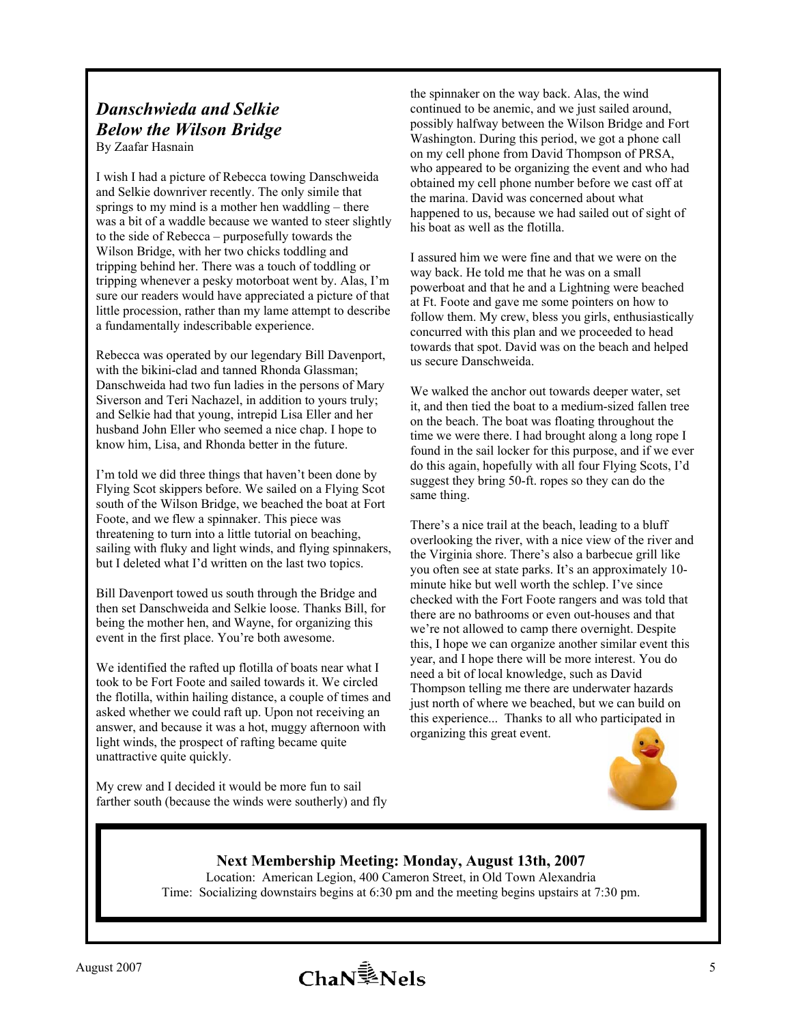# *Danschwieda and Selkie Below the Wilson Bridge*

By Zaafar Hasnain

I wish I had a picture of Rebecca towing Danschweida and Selkie downriver recently. The only simile that springs to my mind is a mother hen waddling – there was a bit of a waddle because we wanted to steer slightly to the side of Rebecca – purposefully towards the Wilson Bridge, with her two chicks toddling and tripping behind her. There was a touch of toddling or tripping whenever a pesky motorboat went by. Alas, I'm sure our readers would have appreciated a picture of that little procession, rather than my lame attempt to describe a fundamentally indescribable experience.

Rebecca was operated by our legendary Bill Davenport, with the bikini-clad and tanned Rhonda Glassman; Danschweida had two fun ladies in the persons of Mary Siverson and Teri Nachazel, in addition to yours truly; and Selkie had that young, intrepid Lisa Eller and her husband John Eller who seemed a nice chap. I hope to know him, Lisa, and Rhonda better in the future.

I'm told we did three things that haven't been done by Flying Scot skippers before. We sailed on a Flying Scot south of the Wilson Bridge, we beached the boat at Fort Foote, and we flew a spinnaker. This piece was threatening to turn into a little tutorial on beaching, sailing with fluky and light winds, and flying spinnakers, but I deleted what I'd written on the last two topics.

Bill Davenport towed us south through the Bridge and then set Danschweida and Selkie loose. Thanks Bill, for being the mother hen, and Wayne, for organizing this event in the first place. You're both awesome.

We identified the rafted up flotilla of boats near what I took to be Fort Foote and sailed towards it. We circled the flotilla, within hailing distance, a couple of times and asked whether we could raft up. Upon not receiving an answer, and because it was a hot, muggy afternoon with light winds, the prospect of rafting became quite unattractive quite quickly.

My crew and I decided it would be more fun to sail farther south (because the winds were southerly) and fly

the spinnaker on the way back. Alas, the wind continued to be anemic, and we just sailed around, possibly halfway between the Wilson Bridge and Fort Washington. During this period, we got a phone call on my cell phone from David Thompson of PRSA, who appeared to be organizing the event and who had obtained my cell phone number before we cast off at the marina. David was concerned about what happened to us, because we had sailed out of sight of his boat as well as the flotilla.

I assured him we were fine and that we were on the way back. He told me that he was on a small powerboat and that he and a Lightning were beached at Ft. Foote and gave me some pointers on how to follow them. My crew, bless you girls, enthusiastically concurred with this plan and we proceeded to head towards that spot. David was on the beach and helped us secure Danschweida.

We walked the anchor out towards deeper water, set it, and then tied the boat to a medium-sized fallen tree on the beach. The boat was floating throughout the time we were there. I had brought along a long rope I found in the sail locker for this purpose, and if we ever do this again, hopefully with all four Flying Scots, I'd suggest they bring 50-ft. ropes so they can do the same thing.

There's a nice trail at the beach, leading to a bluff overlooking the river, with a nice view of the river and the Virginia shore. There's also a barbecue grill like you often see at state parks. It's an approximately 10 minute hike but well worth the schlep. I've since checked with the Fort Foote rangers and was told that there are no bathrooms or even out-houses and that we're not allowed to camp there overnight. Despite this, I hope we can organize another similar event this year, and I hope there will be more interest. You do need a bit of local knowledge, such as David Thompson telling me there are underwater hazards just north of where we beached, but we can build on this experience... Thanks to all who participated in organizing this great event.



#### **Next Membership Meeting: Monday, August 13th, 2007**

Location: American Legion, 400 Cameron Street, in Old Town Alexandria Time: Socializing downstairs begins at 6:30 pm and the meeting begins upstairs at 7:30 pm.

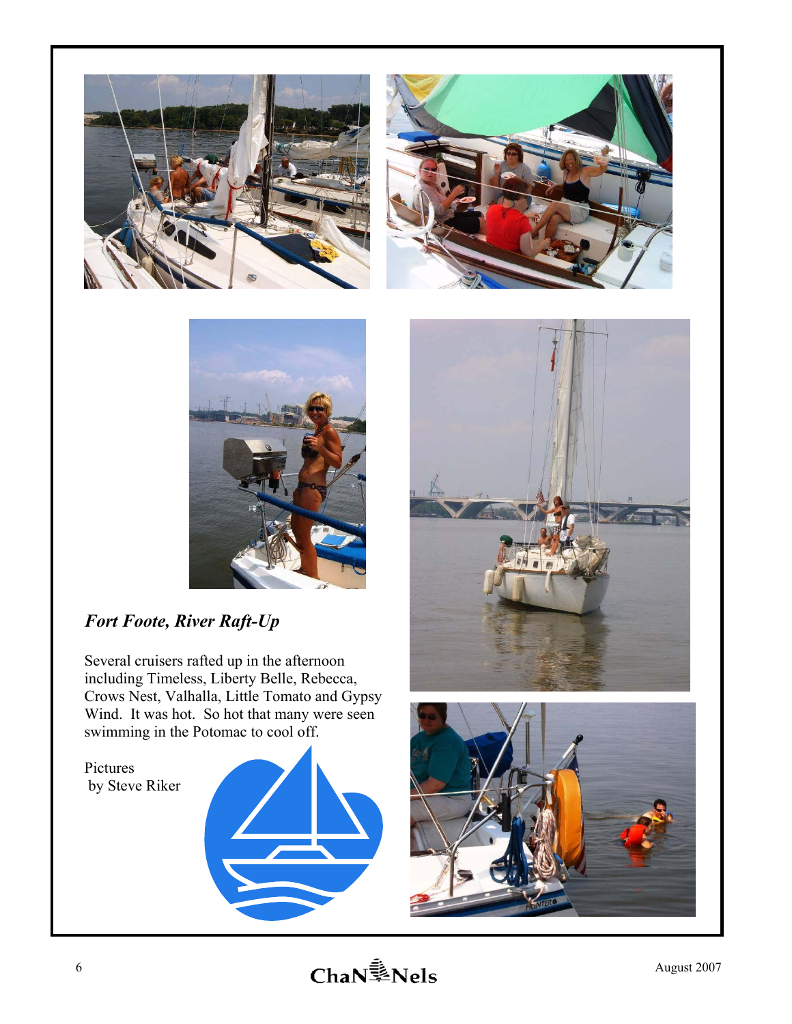





## *Fort Foote, River Raft-Up*

Several cruisers rafted up in the afternoon including Timeless, Liberty Belle, Rebecca, Crows Nest, Valhalla, Little Tomato and Gypsy Wind. It was hot. So hot that many were seen swimming in the Potomac to cool off.

Pictures by Steve Riker





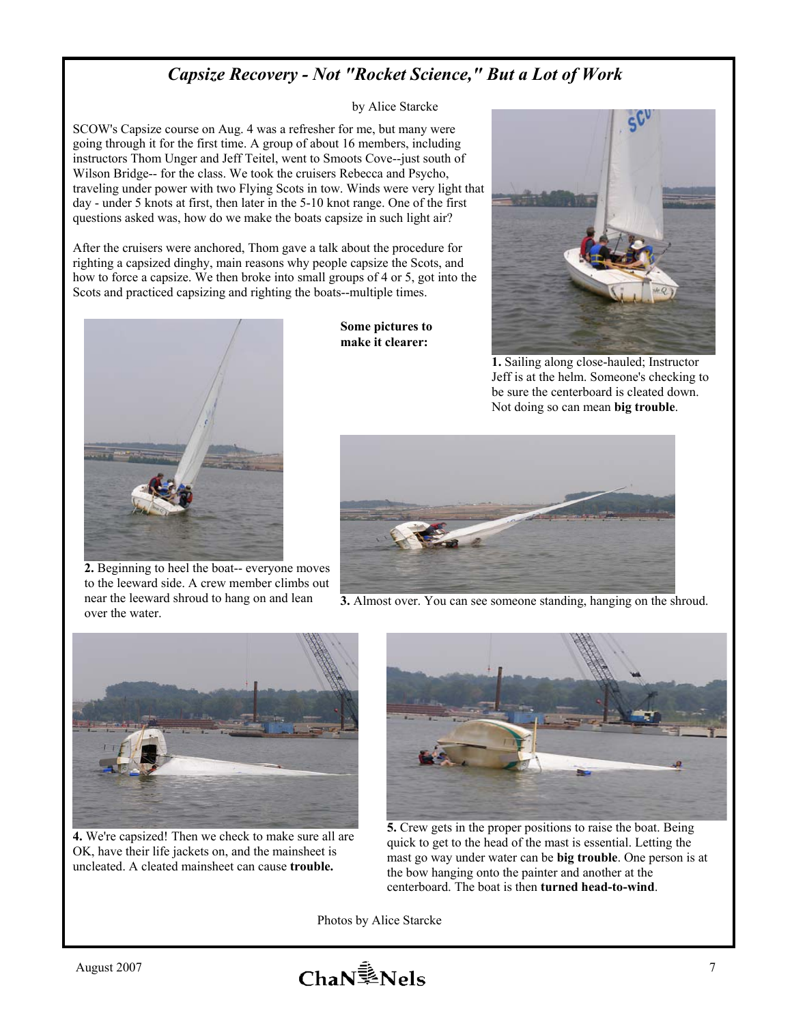## *Capsize Recovery - Not "Rocket Science," But a Lot of Work*

by Alice Starcke

SCOW's Capsize course on Aug. 4 was a refresher for me, but many were going through it for the first time. A group of about 16 members, including instructors Thom Unger and Jeff Teitel, went to Smoots Cove--just south of Wilson Bridge-- for the class. We took the cruisers Rebecca and Psycho, traveling under power with two Flying Scots in tow. Winds were very light that day - under 5 knots at first, then later in the 5-10 knot range. One of the first questions asked was, how do we make the boats capsize in such light air?

After the cruisers were anchored, Thom gave a talk about the procedure for righting a capsized dinghy, main reasons why people capsize the Scots, and how to force a capsize. We then broke into small groups of 4 or 5, got into the Scots and practiced capsizing and righting the boats--multiple times.



**2.** Beginning to heel the boat-- everyone moves to the leeward side. A crew member climbs out near the leeward shroud to hang on and lean over the water.

**Some pictures to make it clearer:** 



**1.** Sailing along close-hauled; Instructor Jeff is at the helm. Someone's checking to be sure the centerboard is cleated down. Not doing so can mean **big trouble**.



**3.** Almost over. You can see someone standing, hanging on the shroud.



**4.** We're capsized! Then we check to make sure all are OK, have their life jackets on, and the mainsheet is uncleated. A cleated mainsheet can cause **trouble.** 



**5.** Crew gets in the proper positions to raise the boat. Being quick to get to the head of the mast is essential. Letting the mast go way under water can be **big trouble**. One person is at the bow hanging onto the painter and another at the centerboard. The boat is then **turned head-to-wind**.

Photos by Alice Starcke

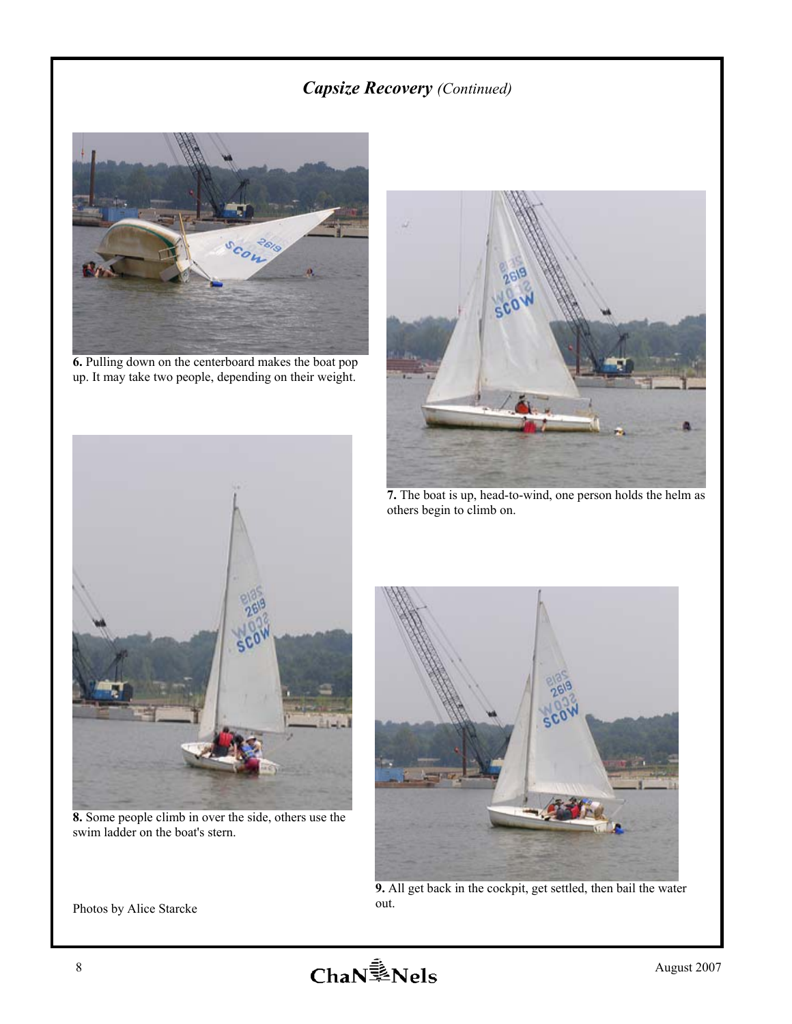## *Capsize Recovery (Continued)*



**6.** Pulling down on the centerboard makes the boat pop up. It may take two people, depending on their weight.



**7.** The boat is up, head-to-wind, one person holds the helm as others begin to climb on.



**8.** Some people climb in over the side, others use the swim ladder on the boat's stern.



**9.** All get back in the cockpit, get settled, then bail the water

Photos by Alice Starcke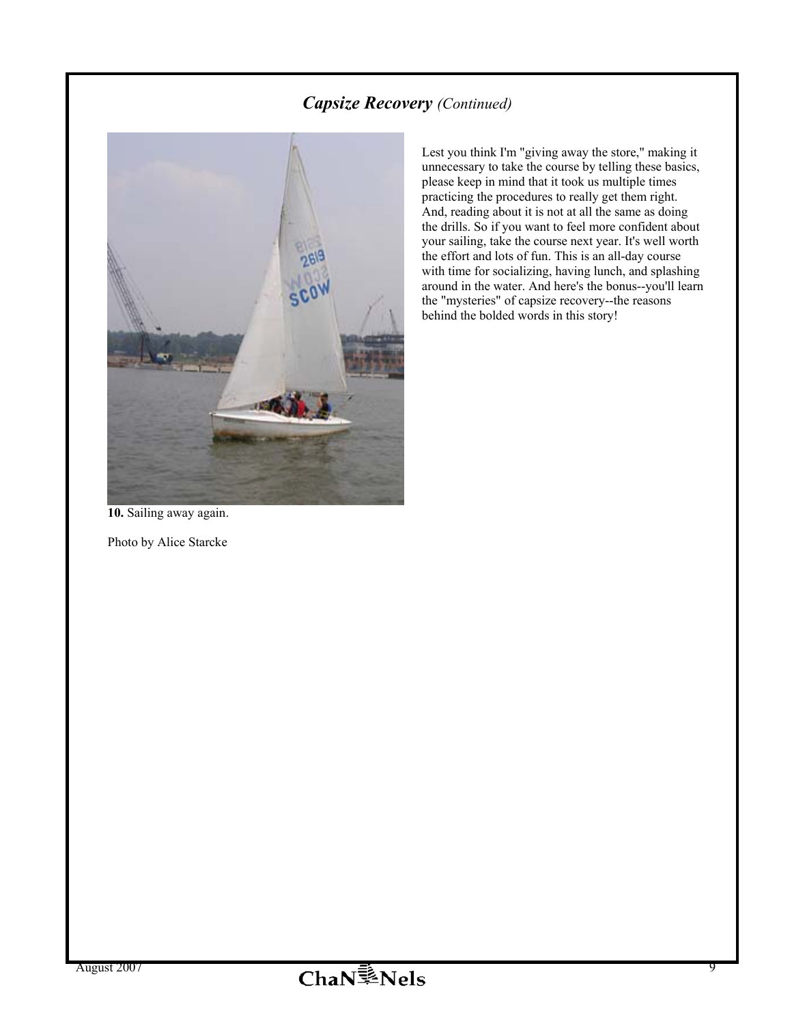## *Capsize Recovery (Continued)*



Lest you think I'm "giving away the store," making it unnecessary to take the course by telling these basics, please keep in mind that it took us multiple times practicing the procedures to really get them right. And, reading about it is not at all the same as doing the drills. So if you want to feel more confident about your sailing, take the course next year. It's well worth the effort and lots of fun. This is an all-day course with time for socializing, having lunch, and splashing around in the water. And here's the bonus--you'll learn the "mysteries" of capsize recovery--the reasons behind the bolded words in this story!

**10.** Sailing away again.

Photo by Alice Starcke